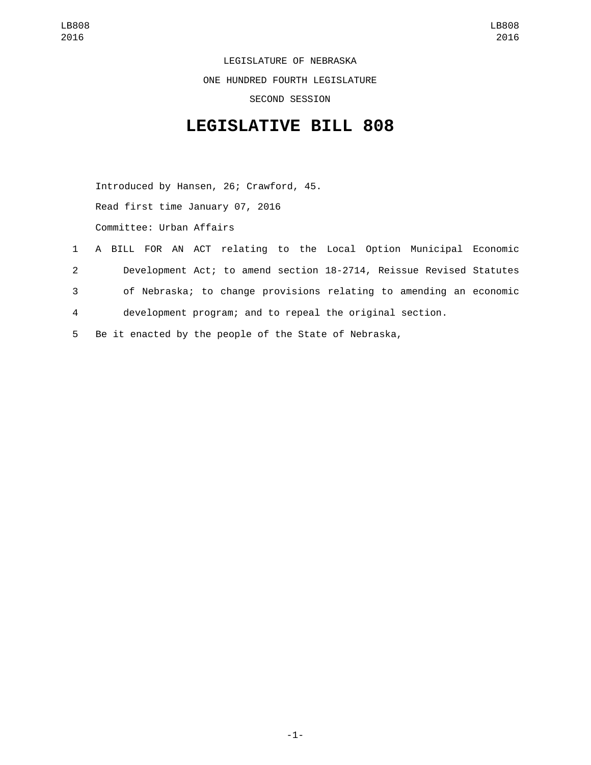LEGISLATURE OF NEBRASKA ONE HUNDRED FOURTH LEGISLATURE SECOND SESSION

## **LEGISLATIVE BILL 808**

Introduced by Hansen, 26; Crawford, 45. Read first time January 07, 2016 Committee: Urban Affairs

- 1 A BILL FOR AN ACT relating to the Local Option Municipal Economic 2 Development Act; to amend section 18-2714, Reissue Revised Statutes 3 of Nebraska; to change provisions relating to amending an economic 4 development program; and to repeal the original section.
- 5 Be it enacted by the people of the State of Nebraska,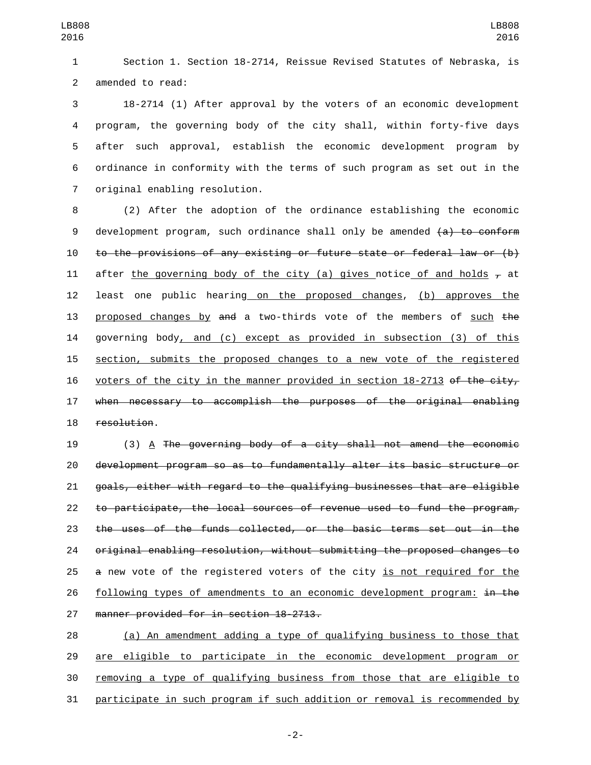Section 1. Section 18-2714, Reissue Revised Statutes of Nebraska, is 2 amended to read:

 18-2714 (1) After approval by the voters of an economic development program, the governing body of the city shall, within forty-five days after such approval, establish the economic development program by ordinance in conformity with the terms of such program as set out in the 7 original enabling resolution.

 (2) After the adoption of the ordinance establishing the economic 9 development program, such ordinance shall only be amended  $(a)$  to conform to the provisions of any existing or future state or federal law or (b) 11 after the governing body of the city (a) gives notice of and holds  $\tau$  at least one public hearing on the proposed changes, (b) approves the 13 proposed changes by and a two-thirds vote of the members of such the governing body, and (c) except as provided in subsection (3) of this section, submits the proposed changes to a new vote of the registered 16 voters of the city in the manner provided in section 18-2713 of the city, when necessary to accomplish the purposes of the original enabling 18 resolution.

 (3) A The governing body of a city shall not amend the economic development program so as to fundamentally alter its basic structure or goals, either with regard to the qualifying businesses that are eligible to participate, the local sources of revenue used to fund the program, the uses of the funds collected, or the basic terms set out in the original enabling resolution, without submitting the proposed changes to 25 a new vote of the registered voters of the city is not required for the 26 following types of amendments to an economic development program: in the 27 manner provided for in section 18-2713.

 (a) An amendment adding a type of qualifying business to those that are eligible to participate in the economic development program or removing a type of qualifying business from those that are eligible to participate in such program if such addition or removal is recommended by

-2-